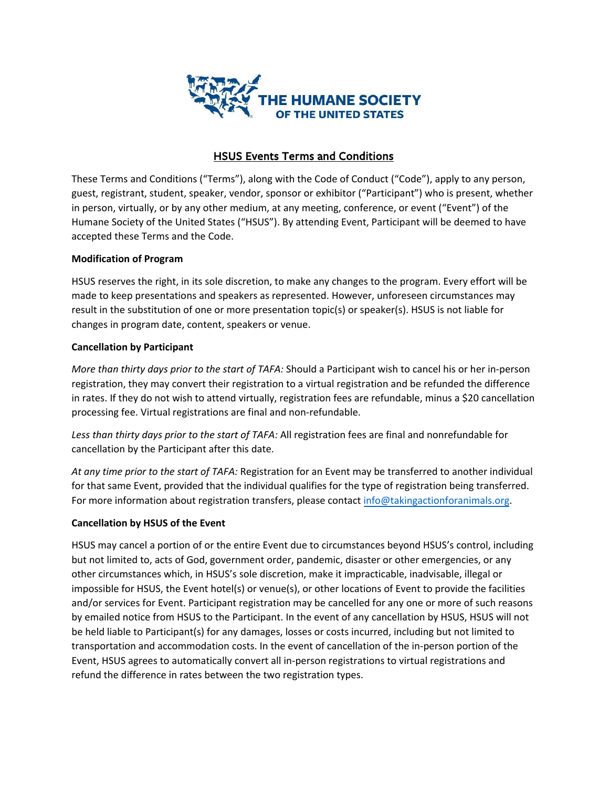

# HSUS Events Terms and Conditions

These Terms and Conditions ("Terms"), along with the Code of Conduct ("Code"), apply to any person, guest, registrant, student, speaker, vendor, sponsor or exhibitor ("Participant") who is present, whether in person, virtually, or by any other medium, at any meeting, conference, or event ("Event") of the Humane Society of the United States ("HSUS"). By attending Event, Participant will be deemed to have accepted these Terms and the Code.

### **Modification of Program**

HSUS reserves the right, in its sole discretion, to make any changes to the program. Every effort will be made to keep presentations and speakers as represented. However, unforeseen circumstances may result in the substitution of one or more presentation topic(s) or speaker(s). HSUS is not liable for changes in program date, content, speakers or venue.

### **Cancellation by Participant**

*More than thirty days prior to the start of TAFA:* Should a Participant wish to cancel his or her in-person registration, they may convert their registration to a virtual registration and be refunded the difference in rates. If they do not wish to attend virtually, registration fees are refundable, minus a \$20 cancellation processing fee. Virtual registrations are final and non-refundable.

*Less than thirty days prior to the start of TAFA:* All registration fees are final and nonrefundable for cancellation by the Participant after this date.

*At any time prior to the start of TAFA:* Registration for an Event may be transferred to another individual for that same Event, provided that the individual qualifies for the type of registration being transferred. For more information about registration transfers, please contact info@takingactionforanimals.org.

# **Cancellation by HSUS of the Event**

HSUS may cancel a portion of or the entire Event due to circumstances beyond HSUS's control, including but not limited to, acts of God, government order, pandemic, disaster or other emergencies, or any other circumstances which, in HSUS's sole discretion, make it impracticable, inadvisable, illegal or impossible for HSUS, the Event hotel(s) or venue(s), or other locations of Event to provide the facilities and/or services for Event. Participant registration may be cancelled for any one or more of such reasons by emailed notice from HSUS to the Participant. In the event of any cancellation by HSUS, HSUS will not be held liable to Participant(s) for any damages, losses or costs incurred, including but not limited to transportation and accommodation costs. In the event of cancellation of the in-person portion of the Event, HSUS agrees to automatically convert all in-person registrations to virtual registrations and refund the difference in rates between the two registration types.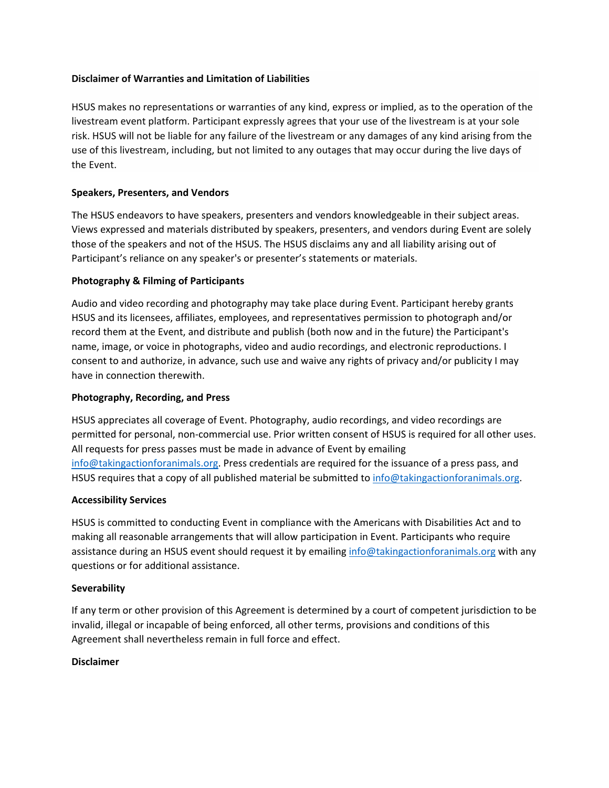#### **Disclaimer of Warranties and Limitation of Liabilities**

HSUS makes no representations or warranties of any kind, express or implied, as to the operation of the livestream event platform. Participant expressly agrees that your use of the livestream is at your sole risk. HSUS will not be liable for any failure of the livestream or any damages of any kind arising from the use of this livestream, including, but not limited to any outages that may occur during the live days of the Event.

### **Speakers, Presenters, and Vendors**

The HSUS endeavors to have speakers, presenters and vendors knowledgeable in their subject areas. Views expressed and materials distributed by speakers, presenters, and vendors during Event are solely those of the speakers and not of the HSUS. The HSUS disclaims any and all liability arising out of Participant's reliance on any speaker's or presenter's statements or materials.

#### **Photography & Filming of Participants**

Audio and video recording and photography may take place during Event. Participant hereby grants HSUS and its licensees, affiliates, employees, and representatives permission to photograph and/or record them at the Event, and distribute and publish (both now and in the future) the Participant's name, image, or voice in photographs, video and audio recordings, and electronic reproductions. I consent to and authorize, in advance, such use and waive any rights of privacy and/or publicity I may have in connection therewith.

#### **Photography, Recording, and Press**

HSUS appreciates all coverage of Event. Photography, audio recordings, and video recordings are permitted for personal, non-commercial use. Prior written consent of HSUS is required for all other uses. All requests for press passes must be made in advance of Event by emailing [info@takingactionforanimals.org.](mailto:info@takingactionforanimals.org) Press credentials are required for the issuance of a press pass, and HSUS requires that a copy of all published material be submitted to [info@takingactionforanimals.org.](mailto:info@takingactionforanimals.org)

#### **Accessibility Services**

HSUS is committed to conducting Event in compliance with the Americans with Disabilities Act and to making all reasonable arrangements that will allow participation in Event. Participants who require assistance during an HSUS event should request it by emailing [info@takingactionforanimals.org](mailto:info@takingactionforanimals.org) with any questions or for additional assistance.

#### **Severability**

If any term or other provision of this Agreement is determined by a court of competent jurisdiction to be invalid, illegal or incapable of being enforced, all other terms, provisions and conditions of this Agreement shall nevertheless remain in full force and effect.

#### **Disclaimer**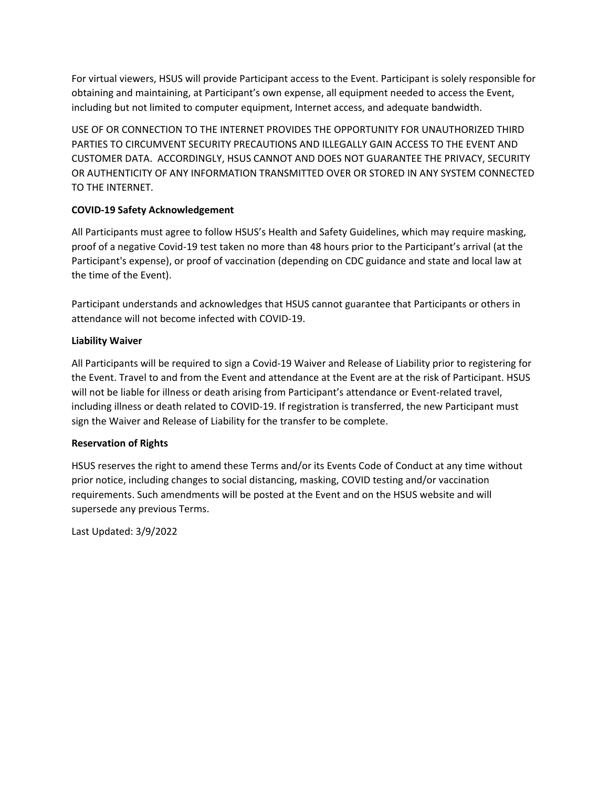For virtual viewers, HSUS will provide Participant access to the Event. Participant is solely responsible for obtaining and maintaining, at Participant's own expense, all equipment needed to access the Event, including but not limited to computer equipment, Internet access, and adequate bandwidth.

USE OF OR CONNECTION TO THE INTERNET PROVIDES THE OPPORTUNITY FOR UNAUTHORIZED THIRD PARTIES TO CIRCUMVENT SECURITY PRECAUTIONS AND ILLEGALLY GAIN ACCESS TO THE EVENT AND CUSTOMER DATA. ACCORDINGLY, HSUS CANNOT AND DOES NOT GUARANTEE THE PRIVACY, SECURITY OR AUTHENTICITY OF ANY INFORMATION TRANSMITTED OVER OR STORED IN ANY SYSTEM CONNECTED TO THE INTERNET.

# **COVID-19 Safety Acknowledgement**

All Participants must agree to follow HSUS's Health and Safety Guidelines, which may require masking, proof of a negative Covid-19 test taken no more than 48 hours prior to the Participant's arrival (at the Participant's expense), or proof of vaccination (depending on CDC guidance and state and local law at the time of the Event).

Participant understands and acknowledges that HSUS cannot guarantee that Participants or others in attendance will not become infected with COVID-19.

# **Liability Waiver**

All Participants will be required to sign a Covid-19 Waiver and Release of Liability prior to registering for the Event. Travel to and from the Event and attendance at the Event are at the risk of Participant. HSUS will not be liable for illness or death arising from Participant's attendance or Event-related travel, including illness or death related to COVID-19. If registration is transferred, the new Participant must sign the Waiver and Release of Liability for the transfer to be complete.

# **Reservation of Rights**

HSUS reserves the right to amend these Terms and/or its Events Code of Conduct at any time without prior notice, including changes to social distancing, masking, COVID testing and/or vaccination requirements. Such amendments will be posted at the Event and on the HSUS website and will supersede any previous Terms.

Last Updated: 3/9/2022